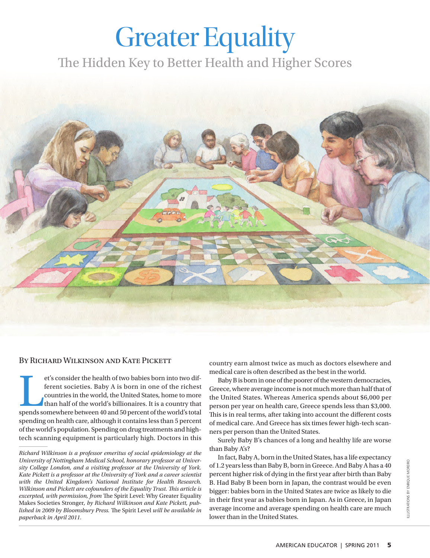## Greater Equality

The Hidden Key to Better Health and Higher Scores



## By Richard Wilkinson and Kate Pickett

et's consider the health of two babies born into two different societies. Baby A is born in one of the richest countries in the world, the United States, home to more than half of the world's billionaires. It is a country et's consider the health of two babies born into two different societies. Baby A is born in one of the richest countries in the world, the United States, home to more than half of the world's billionaires. It is a country that spending on health care, although it contains less than 5 percent of the world's population. Spending on drug treatments and hightech scanning equipment is particularly high. Doctors in this country earn almost twice as much as doctors elsewhere and medical care is often described as the best in the world.

Baby B is born in one of the poorer of the western democracies, Greece, where average income is not much more than half that of the United States. Whereas America spends about \$6,000 per person per year on health care, Greece spends less than \$3,000. This is in real terms, after taking into account the different costs of medical care. And Greece has six times fewer high-tech scanners per person than the United States.

Surely Baby B's chances of a long and healthy life are worse than Baby A's?

In fact, Baby A, born in the United States, has a life expectancy of 1.2 years less than Baby B, born in Greece. And Baby A has a 40 percent higher risk of dying in the first year after birth than Baby B. Had Baby B been born in Japan, the contrast would be even bigger: babies born in the United States are twice as likely to die in their first year as babies born in Japan. As in Greece, in Japan average income and average spending on health care are much lower than in the United States.

*Richard Wilkinson is a professor emeritus of social epidemiology at the University of Nottingham Medical School, honorary professor at University College London, and a visiting professor at the University of York. Kate Pickett is a professor at the University of York and a career scientist with the United Kingdom's National Institute for Health Research. Wilkinson and Pickett are cofounders of the Equality Trust. This article is excerpted, with permission, from* The Spirit Level: Why Greater Equality Makes Societies Stronger*, by Richard Wilkinson and Kate Pickett, published in 2009 by Bloomsbury Press.* The Spirit Level *will be available in paperback in April 2011.*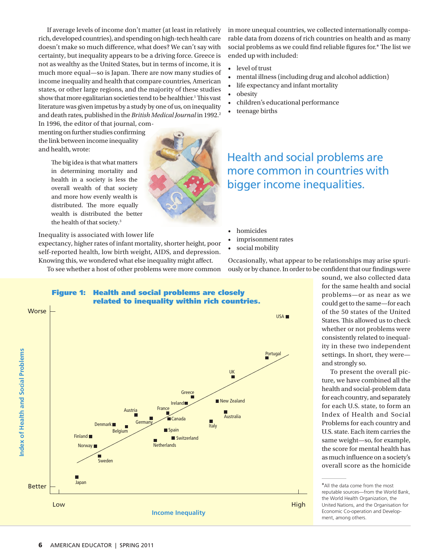If average levels of income don't matter (at least in relatively rich, developed countries), and spending on high-tech health care doesn't make so much difference, what does? We can't say with certainty, but inequality appears to be a driving force. Greece is not as wealthy as the United States, but in terms of income, it is much more equal—so is Japan. There are now many studies of income inequality and health that compare countries, American states, or other large regions, and the majority of these studies show that more egalitarian societies tend to be healthier.<sup>1</sup> This vast literature was given impetus by a study by one of us, on inequality and death rates, published in the *British Medical Journal* in 1992.<sup>2</sup>

In 1996, the editor of that journal, commenting on further studies confirming the link between income inequality and health, wrote:

> The big idea is that what matters in determining mortality and health in a society is less the overall wealth of that society and more how evenly wealth is distributed. The more equally wealth is distributed the better the health of that society.3

Inequality is associated with lower life

expectancy, higher rates of infant mortality, shorter height, poor self-reported health, low birth weight, AIDS, and depression. Knowing this, we wondered what else inequality might affect.

To see whether a host of other problems were more common

in more unequal countries, we collected internationally comparable data from dozens of rich countries on health and as many social problems as we could find reliable figures for.\* The list we ended up with included:

- level of trust
- mental illness (including drug and alcohol addiction)
- life expectancy and infant mortality
- obesity
- children's educational performance
- teenage births

Health and social problems are more common in countries with bigger income inequalities.

- homicides
- imprisonment rates
- social mobility



Occasionally, what appear to be relationships may arise spuriously or by chance. In order to be confident that our findings were

> sound, we also collected data for the same health and social problems—or as near as we could get to the same—for each of the 50 states of the United States. This allowed us to check whether or not problems were consistently related to inequality in these two independent settings. In short, they were and strongly so.

To present the overall picture, we have combined all the health and social-problem data for each country, and separately for each U.S. state, to form an Index of Health and Social Problems for each country and U.S. state. Each item carries the same weight—so, for example, the score for mental health has as much influence on a society's overall score as the homicide **Index**<br>
Index of Social Problems<br>
Index Of Social Problems<br>
Index Of Social Problems<br>
Index Of Social Problems<br>
Index Of Social Problems<br>
Index Of Social Problems<br>
Index Of Social Problems<br>
Index Of Social Problems<br>
Index



All the data come from the most<br>reputable sources—from the World Bank, \*All the data come from the most the World Health Organization, the United Nations, and the Organisation for Economic Co-operation and Development, among others.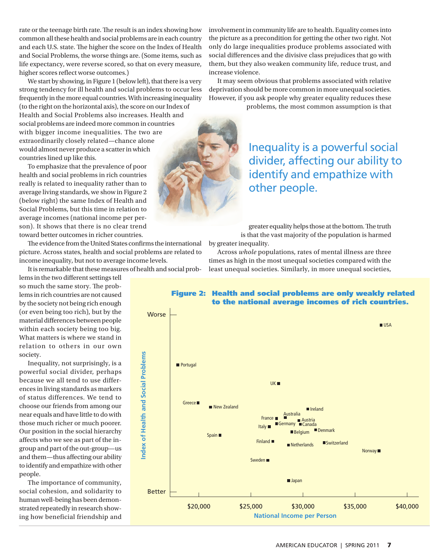rate or the teenage birth rate. The result is an index showing how common all these health and social problems are in each country and each U.S. state. The higher the score on the Index of Health and Social Problems, the worse things are. (Some items, such as life expectancy, were reverse scored, so that on every measure, higher scores reflect worse outcomes.)

We start by showing, in Figure 1 (below left), that there is a very strong tendency for ill health and social problems to occur less frequently in the more equal countries. With increasing inequality (to the right on the horizontal axis), the score on our Index of Health and Social Problems also increases. Health and social problems are indeed more common in countries with bigger income inequalities. The two are extraordinarily closely related—chance alone would almost never produce a scatter in which countries lined up like this.

To emphasize that the prevalence of poor health and social problems in rich countries really is related to inequality rather than to average living standards, we show in Figure 2 (below right) the same Index of Health and Social Problems, but this time in relation to average incomes (national income per person). It shows that there is no clear trend toward better outcomes in richer countries.

The evidence from the United States confirms the international picture. Across states, health and social problems are related to income inequality, but not to average income levels.

It is remarkable that these measures of health and social prob-

lems in the two different settings tell so much the same story. The problems in rich countries are not caused by the society not being rich enough (or even being too rich), but by the material differences between people within each society being too big. What matters is where we stand in relation to others in our own society.

Inequality, not surprisingly, is a powerful social divider, perhaps because we all tend to use differences in living standards as markers of status differences. We tend to choose our friends from among our near equals and have little to do with those much richer or much poorer. Our position in the social hierarchy affects who we see as part of the ingroup and part of the out-group—us and them—thus affecting our ability to identify and empathize with other people.

The importance of community, social cohesion, and solidarity to human well-being has been demonstrated repeatedly in research showing how beneficial friendship and involvement in community life are to health. Equality comes into the picture as a precondition for getting the other two right. Not only do large inequalities produce problems associated with social differences and the divisive class prejudices that go with them, but they also weaken community life, reduce trust, and increase violence.

It may seem obvious that problems associated with relative deprivation should be more common in more unequal societies. However, if you ask people why greater equality reduces these

problems, the most common assumption is that

Inequality is a powerful social divider, affecting our ability to identify and empathize with other people.

greater equality helps those at the bottom. The truth is that the vast majority of the population is harmed by greater inequality.

Across *whole* populations, rates of mental illness are three times as high in the most unequal societies compared with the least unequal societies. Similarly, in more unequal societies,





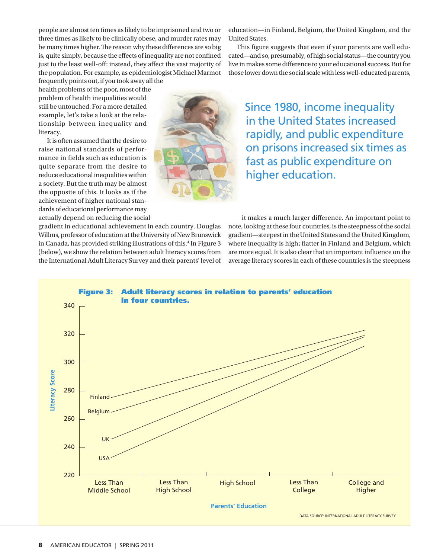people are almost ten times as likely to be imprisoned and two or three times as likely to be clinically obese, and murder rates may be many times higher. The reason why these differences are so big is, quite simply, because the effects of inequality are not confined just to the least well-off: instead, they affect the vast majority of the population. For example, as epidemiologist Michael Marmot frequently points out, if you took away all the

gradient in educational achievement in each country. Douglas Willms, professor of education at the University of New Brunswick in Canada, has provided striking illustrations of this.4 In Figure 3 (below), we show the relation between adult literacy scores from the International Adult Literacy Survey and their parents' level of

health problems of the poor, most of the problem of health inequalities would still be untouched. For a more detailed example, let's take a look at the relationship between inequality and literacy.

It is often assumed that the desire to raise national standards of performance in fields such as education is quite separate from the desire to reduce educational inequalities within a society. But the truth may be almost the opposite of this. It looks as if the achievement of higher national standards of educational performance may actually depend on reducing the social



education—in Finland, Belgium, the United Kingdom, and the United States.

This figure suggests that even if your parents are well educated—and so, presumably, of high social status—the country you live in makes some difference to your educational success. But for those lower down the social scale with less well-educated parents,

Since 1980, income inequality in the United States increased rapidly, and public expenditure on prisons increased six times as fast as public expenditure on higher education.

it makes a much larger difference. An important point to note, looking at these four countries, is the steepness of the social gradient—steepest in the United States and the United Kingdom, where inequality is high; flatter in Finland and Belgium, which are more equal. It is also clear that an important influence on the average literacy scores in each of these countries is the steepness